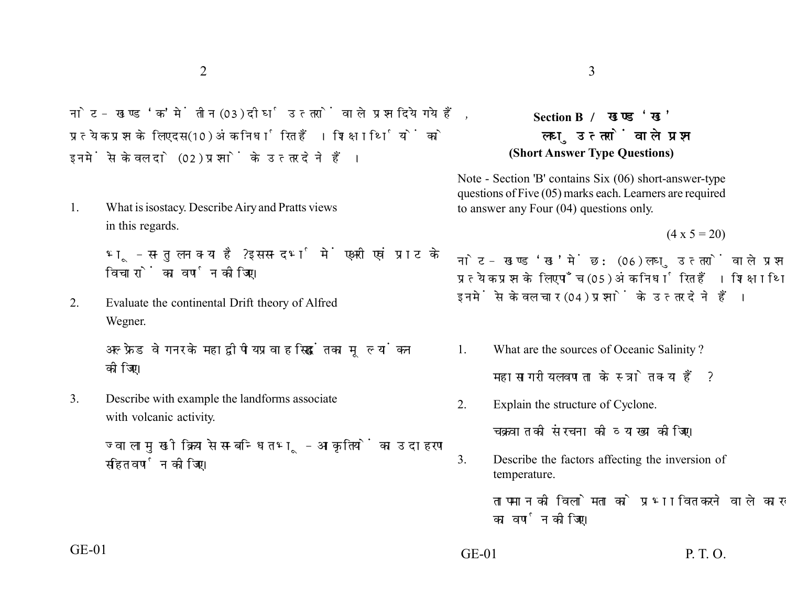नोट- खण्ड 'क' में तीन (03) दीर्घ उत्तरों वाले प्रश्न दिये गये हैं. प्रत्येक प्रश्न के लिए दस (10) अंक निर्धारित हैं। शिक्षार्थियों को इनमें से केवल दो (02) प्रश्नों के उत्तर देने हैं।

1. What is isostacy. Describe Airy and Pratts views in this regards.

> भ-सन्तुलन क्या है? इस सन्दर्भ में एअरी एवं प्राट के विचारों का वर्णन कोजिए।

2. Evaluate the continental Drift theory of Alfred Wegner.

> अल्फ्रेड वेगनर के महाद्वीपीय प्रवाह सिद्धांत का मूल्यांकन कोजिए।

3. Describe with example the landforms associate with volcanic activity.

> ज्वालामुखी क्रिया से सम्बन्धित भू-आकृतियों का उदाहरण सहित वर्णन कीजिए।

## $2\overline{3}$

## **Section B**  लघ उत्तरों वाले प्रश्न **(Short Answer Type Questions)**

Note - Section 'B' contains Six (06) short-answer-type questions of Five (05) marks each. Learners are required to answer any Four (04) questions only.

 $(4 \times 5 = 20)$ 

नोट- खण्ड 'ख' में छ: (06) लघु उत्तरों वाले प्रश्न दिये गये हैं, प्रत्येक प्रश्न के लिए पाँच (05) अंक निर्धारित हैं। शिक्षार्थियों को इनमें से केवल चार (04) प्रश्नों के उत्तर देने हैं।

- 1. What are the sources of Oceanic Salinity ? महासागरीय लवणता के स्त्रोत क्या हैं?
- 2. Explain the structure of Cyclone.

चक्रवात की संरचना की व्याख्या कोजिए।

3. Describe the factors affecting the inversion of temperature.

> तापमान की विलोमता को प्रभावित करने वाले कारकों का वर्णन कोजिए।

GE-01 P. T. O.